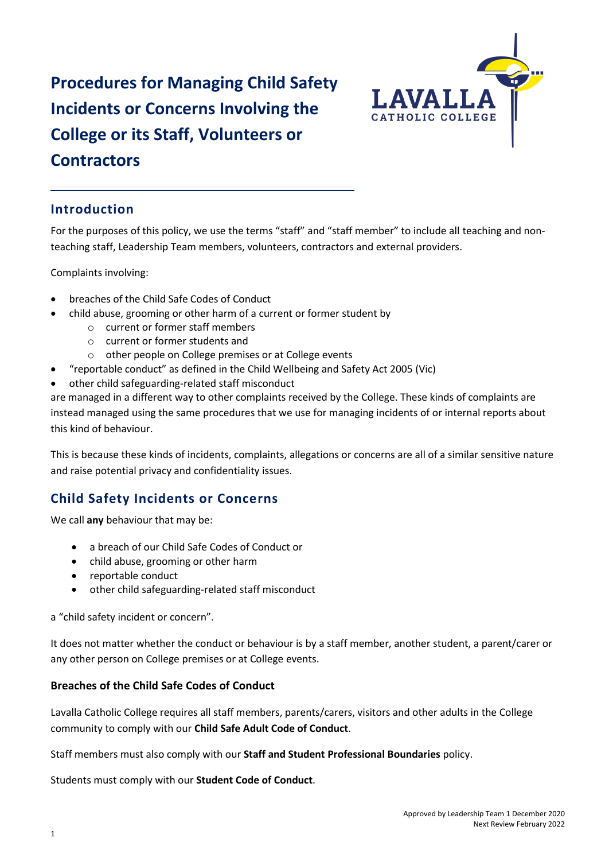# **Procedures for Managing Child Safety Incidents or Concerns Involving the College or its Staff, Volunteers or Contractors**



# **Introduction**

For the purposes of this policy, we use the terms "staff" and "staff member" to include all teaching and nonteaching staff, Leadership Team members, volunteers, contractors and external providers.

Complaints involving:

- breaches of the Child Safe Codes of Conduct
- child abuse, grooming or other harm of a current or former student by
	- o current or former staff members
	- o current or former students and
	- o other people on College premises or at College events
- "reportable conduct" as defined in the Child Wellbeing and Safety Act 2005 (Vic)
- other child safeguarding-related staff misconduct

are managed in a different way to other complaints received by the College. These kinds of complaints are instead managed using the same procedures that we use for managing incidents of or internal reports about this kind of behaviour.

This is because these kinds of incidents, complaints, allegations or concerns are all of a similar sensitive nature and raise potential privacy and confidentiality issues.

# **Child Safety Incidents or Concerns**

We call **any** behaviour that may be:

- a breach of our Child Safe Codes of Conduct or
- child abuse, grooming or other harm
- reportable conduct
- other child safeguarding-related staff misconduct

a "child safety incident or concern".

It does not matter whether the conduct or behaviour is by a staff member, another student, a parent/carer or any other person on College premises or at College events.

## **Breaches of the Child Safe Codes of Conduct**

Lavalla Catholic College requires all staff members, parents/carers, visitors and other adults in the College community to comply with our **Child Safe Adult Code of Conduct**.

Staff members must also comply with our **Staff and Student Professional Boundaries** policy.

Students must comply with our **Student Code of Conduct**.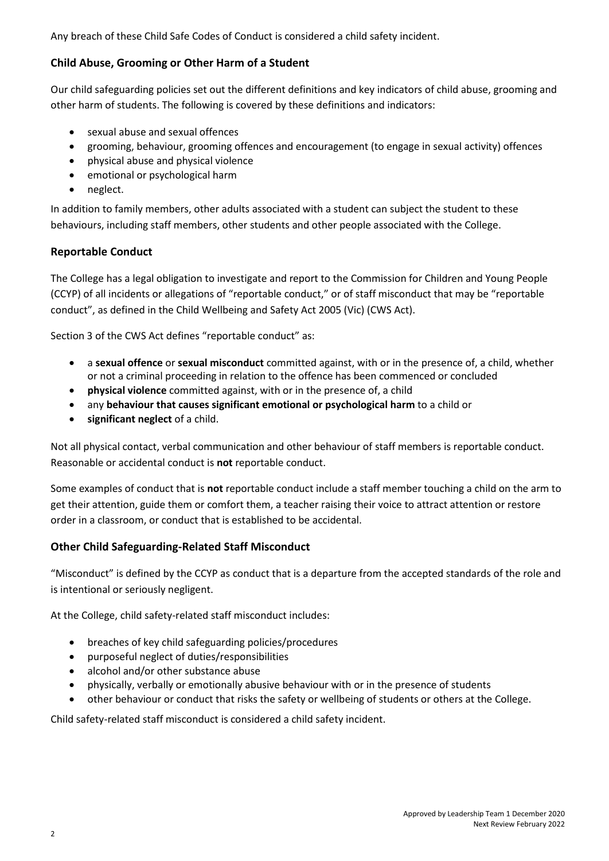Any breach of these Child Safe Codes of Conduct is considered a child safety incident.

# **Child Abuse, Grooming or Other Harm of a Student**

Our child safeguarding policies set out the different definitions and key indicators of child abuse, grooming and other harm of students. The following is covered by these definitions and indicators:

- sexual abuse and sexual offences
- grooming, behaviour, grooming offences and encouragement (to engage in sexual activity) offences
- physical abuse and physical violence
- emotional or psychological harm
- neglect.

In addition to family members, other adults associated with a student can subject the student to these behaviours, including staff members, other students and other people associated with the College.

# **Reportable Conduct**

The College has a legal obligation to investigate and report to the Commission for Children and Young People (CCYP) of all incidents or allegations of "reportable conduct," or of staff misconduct that may be "reportable conduct", as defined in the Child Wellbeing and Safety Act 2005 (Vic) (CWS Act).

Section 3 of the CWS Act defines "reportable conduct" as:

- a **sexual offence** or **sexual misconduct** committed against, with or in the presence of, a child, whether or not a criminal proceeding in relation to the offence has been commenced or concluded
- **physical violence** committed against, with or in the presence of, a child
- any **behaviour that causes significant emotional or psychological harm** to a child or
- **significant neglect** of a child.

Not all physical contact, verbal communication and other behaviour of staff members is reportable conduct. Reasonable or accidental conduct is **not** reportable conduct.

Some examples of conduct that is **not** reportable conduct include a staff member touching a child on the arm to get their attention, guide them or comfort them, a teacher raising their voice to attract attention or restore order in a classroom, or conduct that is established to be accidental.

## **Other Child Safeguarding-Related Staff Misconduct**

"Misconduct" is defined by the CCYP as conduct that is a departure from the accepted standards of the role and is intentional or seriously negligent.

At the College, child safety-related staff misconduct includes:

- breaches of key child safeguarding policies/procedures
- purposeful neglect of duties/responsibilities
- alcohol and/or other substance abuse
- physically, verbally or emotionally abusive behaviour with or in the presence of students
- other behaviour or conduct that risks the safety or wellbeing of students or others at the College.

Child safety-related staff misconduct is considered a child safety incident.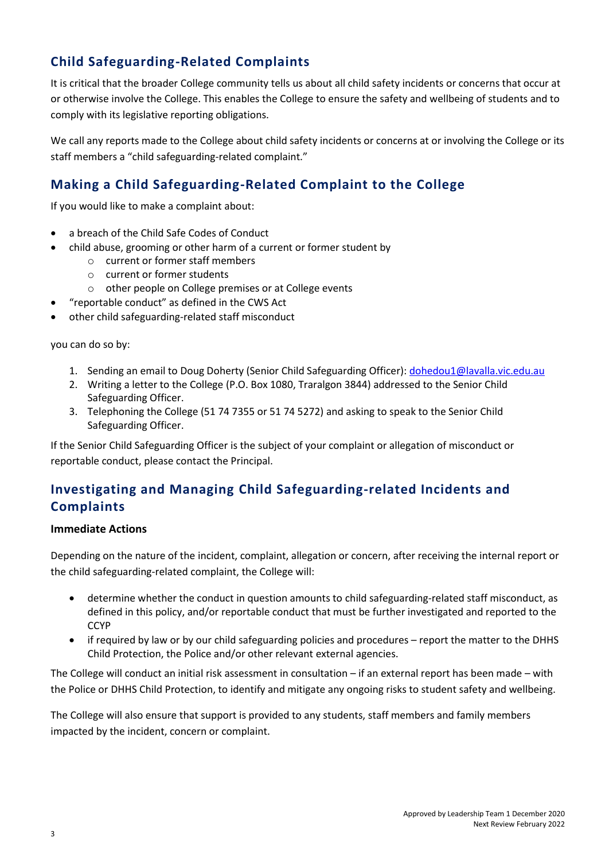# **Child Safeguarding-Related Complaints**

It is critical that the broader College community tells us about all child safety incidents or concerns that occur at or otherwise involve the College. This enables the College to ensure the safety and wellbeing of students and to comply with its legislative reporting obligations.

We call any reports made to the College about child safety incidents or concerns at or involving the College or its staff members a "child safeguarding-related complaint."

# **Making a Child Safeguarding-Related Complaint to the College**

If you would like to make a complaint about:

- a breach of the Child Safe Codes of Conduct
- child abuse, grooming or other harm of a current or former student by
	- o current or former staff members
	- o current or former students
	- o other people on College premises or at College events
- "reportable conduct" as defined in the CWS Act
- other child safeguarding-related staff misconduct

you can do so by:

- 1. Sending an email to Doug Doherty (Senior Child Safeguarding Officer)[: dohedou1@lavalla.vic.edu.au](mailto:dohedou1@lavalla.vic.edu.au)
- 2. Writing a letter to the College (P.O. Box 1080, Traralgon 3844) addressed to the Senior Child Safeguarding Officer.
- 3. Telephoning the College (51 74 7355 or 51 74 5272) and asking to speak to the Senior Child Safeguarding Officer.

If the Senior Child Safeguarding Officer is the subject of your complaint or allegation of misconduct or reportable conduct, please contact the Principal.

# **Investigating and Managing Child Safeguarding-related Incidents and Complaints**

## **Immediate Actions**

Depending on the nature of the incident, complaint, allegation or concern, after receiving the internal report or the child safeguarding-related complaint, the College will:

- determine whether the conduct in question amounts to child safeguarding-related staff misconduct, as defined in this policy, and/or reportable conduct that must be further investigated and reported to the **CCYP**
- if required by law or by our child safeguarding policies and procedures report the matter to the DHHS Child Protection, the Police and/or other relevant external agencies.

The College will conduct an initial risk assessment in consultation – if an external report has been made – with the Police or DHHS Child Protection, to identify and mitigate any ongoing risks to student safety and wellbeing.

The College will also ensure that support is provided to any students, staff members and family members impacted by the incident, concern or complaint.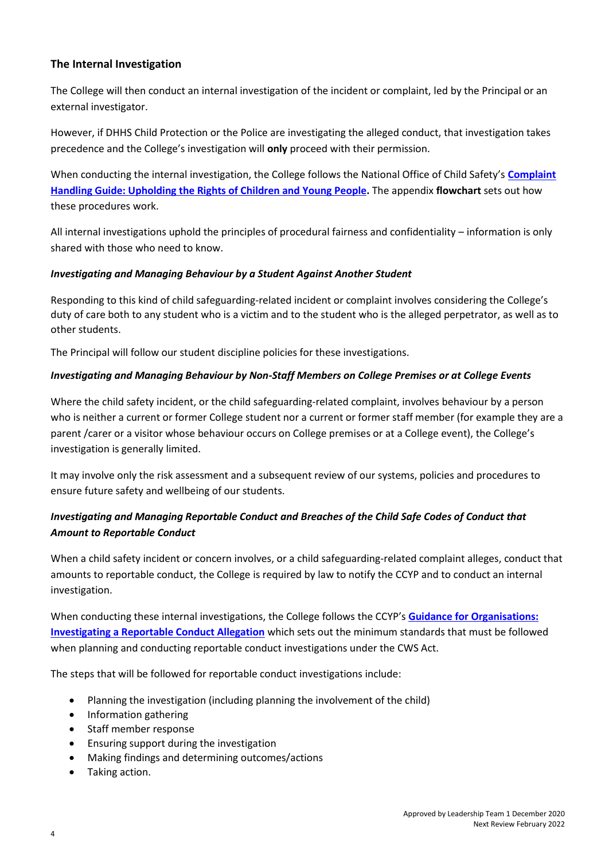# **The Internal Investigation**

The College will then conduct an internal investigation of the incident or complaint, led by the Principal or an external investigator.

However, if DHHS Child Protection or the Police are investigating the alleged conduct, that investigation takes precedence and the College's investigation will **only** proceed with their permission.

When conducting the internal investigation, the College follows the National Office of Child Safety's **[Complaint](https://pmc.gov.au/sites/default/files/publications/nocs-complaint-handling-guide.pdf)  [Handling Guide: Upholding the Rights of Children and](https://pmc.gov.au/sites/default/files/publications/nocs-complaint-handling-guide.pdf) Young People.** The appendix **flowchart** sets out how these procedures work.

All internal investigations uphold the principles of procedural fairness and confidentiality – information is only shared with those who need to know.

#### *Investigating and Managing Behaviour by a Student Against Another Student*

Responding to this kind of child safeguarding-related incident or complaint involves considering the College's duty of care both to any student who is a victim and to the student who is the alleged perpetrator, as well as to other students.

The Principal will follow our student discipline policies for these investigations.

## *Investigating and Managing Behaviour by Non-Staff Members on College Premises or at College Events*

Where the child safety incident, or the child safeguarding-related complaint, involves behaviour by a person who is neither a current or former College student nor a current or former staff member (for example they are a parent /carer or a visitor whose behaviour occurs on College premises or at a College event), the College's investigation is generally limited.

It may involve only the risk assessment and a subsequent review of our systems, policies and procedures to ensure future safety and wellbeing of our students.

# *Investigating and Managing Reportable Conduct and Breaches of the Child Safe Codes of Conduct that Amount to Reportable Conduct*

When a child safety incident or concern involves, or a child safeguarding-related complaint alleges, conduct that amounts to reportable conduct, the College is required by law to notify the CCYP and to conduct an internal investigation.

When conducting these internal investigations, the College follows the CCYP's **[Guidance for Organisations:](https://ccyp.vic.gov.au/assets/resources/Reportable-Conduct-Guidance/CCYP-Investigation-guide.pdf)  [Investigating a Reportable Conduct Allegation](https://ccyp.vic.gov.au/assets/resources/Reportable-Conduct-Guidance/CCYP-Investigation-guide.pdf)** which sets out the minimum standards that must be followed when planning and conducting reportable conduct investigations under the CWS Act.

The steps that will be followed for reportable conduct investigations include:

- Planning the investigation (including planning the involvement of the child)
- Information gathering
- Staff member response
- Ensuring support during the investigation
- Making findings and determining outcomes/actions
- Taking action.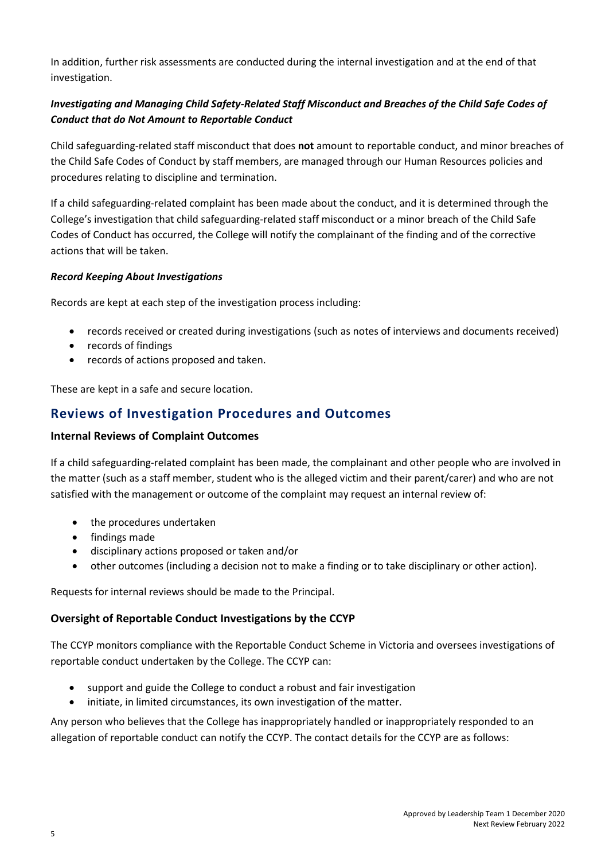In addition, further risk assessments are conducted during the internal investigation and at the end of that investigation.

# *Investigating and Managing Child Safety-Related Staff Misconduct and Breaches of the Child Safe Codes of Conduct that do Not Amount to Reportable Conduct*

Child safeguarding-related staff misconduct that does **not** amount to reportable conduct, and minor breaches of the Child Safe Codes of Conduct by staff members, are managed through our Human Resources policies and procedures relating to discipline and termination.

If a child safeguarding-related complaint has been made about the conduct, and it is determined through the College's investigation that child safeguarding-related staff misconduct or a minor breach of the Child Safe Codes of Conduct has occurred, the College will notify the complainant of the finding and of the corrective actions that will be taken.

## *Record Keeping About Investigations*

Records are kept at each step of the investigation process including:

- records received or created during investigations (such as notes of interviews and documents received)
- records of findings
- records of actions proposed and taken.

These are kept in a safe and secure location.

# **Reviews of Investigation Procedures and Outcomes**

## **Internal Reviews of Complaint Outcomes**

If a child safeguarding-related complaint has been made, the complainant and other people who are involved in the matter (such as a staff member, student who is the alleged victim and their parent/carer) and who are not satisfied with the management or outcome of the complaint may request an internal review of:

- the procedures undertaken
- findings made
- disciplinary actions proposed or taken and/or
- other outcomes (including a decision not to make a finding or to take disciplinary or other action).

Requests for internal reviews should be made to the Principal.

## **Oversight of Reportable Conduct Investigations by the CCYP**

The CCYP monitors compliance with the Reportable Conduct Scheme in Victoria and oversees investigations of reportable conduct undertaken by the College. The CCYP can:

- support and guide the College to conduct a robust and fair investigation
- initiate, in limited circumstances, its own investigation of the matter.

Any person who believes that the College has inappropriately handled or inappropriately responded to an allegation of reportable conduct can notify the CCYP. The contact details for the CCYP are as follows: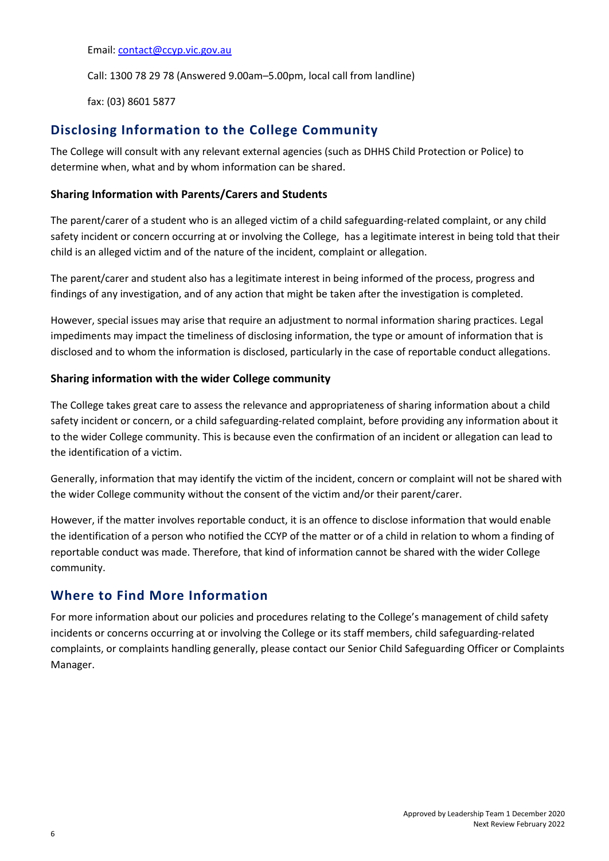#### Email[: contact@ccyp.vic.gov.au](mailto:contact@ccyp.vic.gov.au)

Call: 1300 78 29 78 (Answered 9.00am–5.00pm, local call from landline)

fax: (03) 8601 5877

# **Disclosing Information to the College Community**

The College will consult with any relevant external agencies (such as DHHS Child Protection or Police) to determine when, what and by whom information can be shared.

# **Sharing Information with Parents/Carers and Students**

The parent/carer of a student who is an alleged victim of a child safeguarding-related complaint, or any child safety incident or concern occurring at or involving the College, has a legitimate interest in being told that their child is an alleged victim and of the nature of the incident, complaint or allegation.

The parent/carer and student also has a legitimate interest in being informed of the process, progress and findings of any investigation, and of any action that might be taken after the investigation is completed.

However, special issues may arise that require an adjustment to normal information sharing practices. Legal impediments may impact the timeliness of disclosing information, the type or amount of information that is disclosed and to whom the information is disclosed, particularly in the case of reportable conduct allegations.

# **Sharing information with the wider College community**

The College takes great care to assess the relevance and appropriateness of sharing information about a child safety incident or concern, or a child safeguarding-related complaint, before providing any information about it to the wider College community. This is because even the confirmation of an incident or allegation can lead to the identification of a victim.

Generally, information that may identify the victim of the incident, concern or complaint will not be shared with the wider College community without the consent of the victim and/or their parent/carer.

However, if the matter involves reportable conduct, it is an offence to disclose information that would enable the identification of a person who notified the CCYP of the matter or of a child in relation to whom a finding of reportable conduct was made. Therefore, that kind of information cannot be shared with the wider College community.

# **Where to Find More Information**

For more information about our policies and procedures relating to the College's management of child safety incidents or concerns occurring at or involving the College or its staff members, child safeguarding-related complaints, or complaints handling generally, please contact our Senior Child Safeguarding Officer or Complaints Manager.